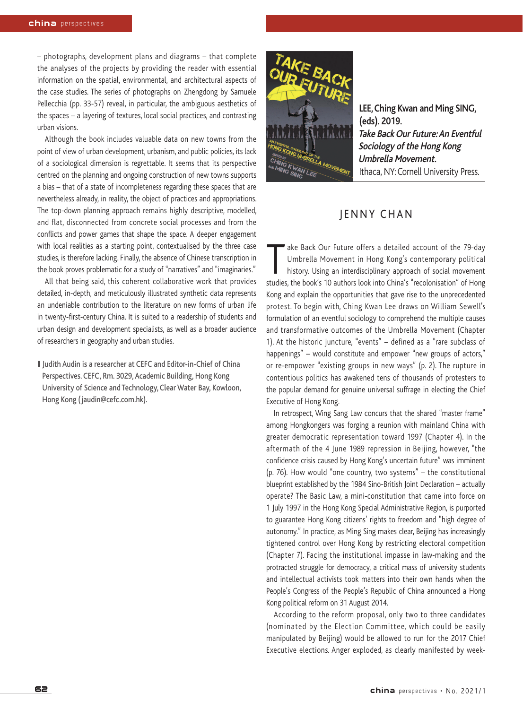– photographs, development plans and diagrams – that complete the analyses of the projects by providing the reader with essential information on the spatial, environmental, and architectural aspects of the case studies. The series of photographs on Zhengdong by Samuele Pellecchia (pp. 33-57) reveal, in particular, the ambiguous aesthetics of the spaces – a layering of textures, local social practices, and contrasting urban visions.

Although the book includes valuable data on new towns from the point of view of urban development, urbanism, and public policies, its lack of a sociological dimension is regrettable. It seems that its perspective centred on the planning and ongoing construction of new towns supports a bias – that of a state of incompleteness regarding these spaces that are nevertheless already, in reality, the object of practices and appropriations. The top-down planning approach remains highly descriptive, modelled, and flat, disconnected from concrete social processes and from the conflicts and power games that shape the space. A deeper engagement with local realities as a starting point, contextualised by the three case studies, is therefore lacking. Finally, the absence of Chinese transcription in the book proves problematic for a study of "narratives" and "imaginaries."

All that being said, this coherent collaborative work that provides detailed, in-depth, and meticulously illustrated synthetic data represents an undeniable contribution to the literature on new forms of urban life in twenty-first-century China. It is suited to a readership of students and urban design and development specialists, as well as a broader audience of researchers in geography and urban studies.

I Judith Audin is a researcher at CEFC and Editor-in-Chief of China Perspectives. CEFC, Rm. 3029, Academic Building, Hong Kong University of Science and Technology, Clear Water Bay, Kowloon, Hong Kong (jaudin@cefc.com.hk).



**LEE,Ching Kwan and Ming SING, (eds). 2019. Take Back Our Future:An Eventful Sociology of the Hong Kong Umbrella Movement.** Ithaca, NY:Cornell University Press.

## JENNY CHAN

Take Back Our Future offers a detailed account of the 79-day<br>Umbrella Movement in Hong Kong's contemporary political<br>history. Using an interdisciplinary approach of social movement Umbrella Movement in Hong Kong's contemporary political studies, the book's 10 authors look into China's "recolonisation" of Hong Kong and explain the opportunities that gave rise to the unprecedented protest. To begin with, Ching Kwan Lee draws on William Sewell's formulation of an eventful sociology to comprehend the multiple causes and transformative outcomes of the Umbrella Movement (Chapter 1). At the historic juncture, "events" – defined as a "rare subclass of happenings" – would constitute and empower "new groups of actors," or re-empower "existing groups in new ways" (p. 2). The rupture in contentious politics has awakened tens of thousands of protesters to the popular demand for genuine universal suffrage in electing the Chief Executive of Hong Kong.

In retrospect, Wing Sang Law concurs that the shared "master frame" among Hongkongers was forging a reunion with mainland China with greater democratic representation toward 1997 (Chapter 4). In the aftermath of the 4 June 1989 repression in Beijing, however, "the confidence crisis caused by Hong Kong's uncertain future" was imminent (p. 76). How would "one country, two systems" – the constitutional blueprint established by the 1984 Sino-British Joint Declaration – actually operate? The Basic Law, a mini-constitution that came into force on 1 July 1997 in the Hong Kong Special Administrative Region, is purported to guarantee Hong Kong citizens' rights to freedom and "high degree of autonomy." In practice, as Ming Sing makes clear, Beijing has increasingly tightened control over Hong Kong by restricting electoral competition (Chapter 7). Facing the institutional impasse in law-making and the protracted struggle for democracy, a critical mass of university students and intellectual activists took matters into their own hands when the People's Congress of the People's Republic of China announced a Hong Kong political reform on 31 August 2014.

According to the reform proposal, only two to three candidates (nominated by the Election Committee, which could be easily manipulated by Beijing) would be allowed to run for the 2017 Chief Executive elections. Anger exploded, as clearly manifested by week-